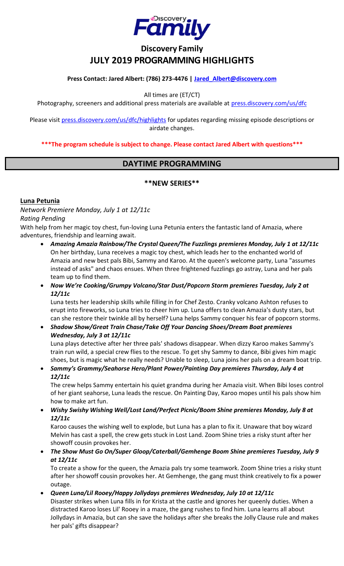

# **Discovery Family JULY 2019 PROGRAMMING HIGHLIGHTS**

#### **Press Contact: Jared Albert: (786) 273-4476 | [Jared\\_Albert@discovery.com](mailto:Jared_Albert@discovery.com)**

All times are (ET/CT)

Photography, screeners and additional press materials are available at [press.discovery.com/us/dfc](http://press.discovery.com/us/dfc)

Please visit [press.discovery.com/us/dfc/highlights](http://press.discovery.com/us/dfc/highlights) for updates regarding missing episode descriptions or airdate changes.

**\*\*\*The program schedule is subject to change. Please contact Jared Albert with questions\*\*\***

### **DAYTIME PROGRAMMING**

#### **\*\*NEW SERIES\*\***

#### **Luna Petunia**

*Network Premiere Monday, July 1 at 12/11c*

#### *Rating Pending*

With help from her magic toy chest, fun-loving Luna Petunia enters the fantastic land of Amazia, where adventures, friendship and learning await.

- *Amazing Amazia Rainbow/The Crystal Queen/The Fuzzlings premieres Monday, July 1 at 12/11c* On her birthday, Luna receives a magic toy chest, which leads her to the enchanted world of Amazia and new best pals Bibi, Sammy and Karoo. At the queen's welcome party, Luna "assumes instead of asks" and chaos ensues. When three frightened fuzzlings go astray, Luna and her pals team up to find them.
- *Now We're Cooking/Grumpy Volcano/Star Dust/Popcorn Storm premieres Tuesday, July 2 at 12/11c*

Luna tests her leadership skills while filling in for Chef Zesto. Cranky volcano Ashton refuses to erupt into fireworks, so Luna tries to cheer him up. Luna offers to clean Amazia's dusty stars, but can she restore their twinkle all by herself? Luna helps Sammy conquer his fear of popcorn storms.

• *Shadow Show/Great Train Chase/Take Off Your Dancing Shoes/Dream Boat premieres Wednesday, July 3 at 12/11c*

Luna plays detective after her three pals' shadows disappear. When dizzy Karoo makes Sammy's train run wild, a special crew flies to the rescue. To get shy Sammy to dance, Bibi gives him magic shoes, but is magic what he really needs? Unable to sleep, Luna joins her pals on a dream boat trip.

• *Sammy's Grammy/Seahorse Hero/Plant Power/Painting Day premieres Thursday, July 4 at 12/11c*

The crew helps Sammy entertain his quiet grandma during her Amazia visit. When Bibi loses control of her giant seahorse, Luna leads the rescue. On Painting Day, Karoo mopes until his pals show him how to make art fun.

• *Wishy Swishy Wishing Well/Lost Land/Perfect Picnic/Boom Shine premieres Monday, July 8 at 12/11c*

Karoo causes the wishing well to explode, but Luna has a plan to fix it. Unaware that boy wizard Melvin has cast a spell, the crew gets stuck in Lost Land. Zoom Shine tries a risky stunt after her showoff cousin provokes her.

• *The Show Must Go On/Super Gloop/Caterball/Gemhenge Boom Shine premieres Tuesday, July 9 at 12/11c*

To create a show for the queen, the Amazia pals try some teamwork. Zoom Shine tries a risky stunt after her showoff cousin provokes her. At Gemhenge, the gang must think creatively to fix a power outage.

• *Queen Luna/Lil Rooey/Happy Jollydays premieres Wednesday, July 10 at 12/11c*

Disaster strikes when Luna fills in for Krista at the castle and ignores her queenly duties. When a distracted Karoo loses Lil' Rooey in a maze, the gang rushes to find him. Luna learns all about Jollydays in Amazia, but can she save the holidays after she breaks the Jolly Clause rule and makes her pals' gifts disappear?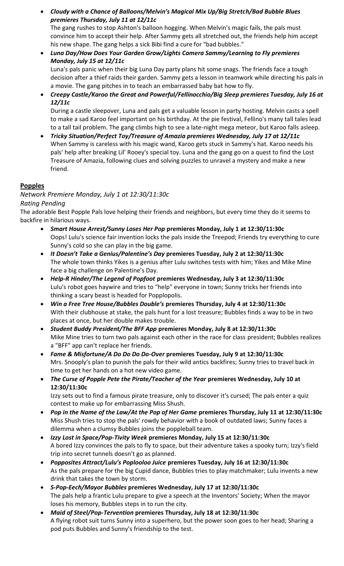- *Cloudy with a Chance of Balloons/Melvin's Magical Mix Up/Big Stretch/Bad Bubble Blues premieres Thursday, July 11 at 12/11c* The gang rushes to stop Ashton's balloon hogging. When Melvin's magic fails, the pals must convince him to accept their help. After Sammy gets all stretched out, the friends help him accept his new shape. The gang helps a sick Bibi find a cure for "bad bubbles."
- *Luna Day/How Does Your Garden Grow/Lights Camera Sammy/Learning to Fly premieres Monday, July 15 at 12/11c* Luna's pals panic when their big Luna Day party plans hit some snags. The friends face a tough decision after a thief raids their garden. Sammy gets a lesson in teamwork while directing his pals in a movie. The gang pitches in to teach an embarrassed baby bat how to fly.
- *Creepy Castle/Karoo the Great and Powerful/Fellinocchio/Big Sleep premieres Tuesday, July 16 at 12/11c*

During a castle sleepover, Luna and pals get a valuable lesson in party hosting. Melvin casts a spell to make a sad Karoo feel important on his birthday. At the pie festival, Fellino's many tall tales lead to a tall tail problem. The gang climbs high to see a late-night mega meteor, but Karoo falls asleep.

• *Tricky Situation/Perfect Toy/Treasure of Amazia premieres Wednesday, July 17 at 12/11c* When Sammy is careless with his magic wand, Karoo gets stuck in Sammy's hat. Karoo needs his pals' help after breaking Lil' Rooey's special toy. Luna and the gang go on a quest to find the Lost Treasure of Amazia, following clues and solving puzzles to unravel a mystery and make a new friend.

### **Popples**

### *Network Premiere Monday, July 1 at 12:30/11:30c*

### *Rating Pending*

The adorable Best Popple Pals love helping their friends and neighbors, but every time they do it seems to backfire in hilarious ways.

- *Smart House Arrest/Sunny Loses Her Pop* **premieres Monday, July 1 at 12:30/11:30c** Oops! Lulu's science fair invention locks the pals inside the Treepod; Friends try everything to cure Sunny's cold so she can play in the big game.
- *It Doesn't Take a Genius/Palentine's Day* **premieres Tuesday, July 2 at 12:30/11:30c** The whole town thinks Yikes is a genius after Lulu switches tests with him; Yikes and Mike Mine face a big challenge on Palentine's Day.
- *Help-R Hinder/The Legend of Popfoot* **premieres Wednesday, July 3 at 12:30/11:30c** Lulu's robot goes haywire and tries to "help" everyone in town; Sunny tricks her friends into thinking a scary beast is headed for Popplopolis.
- *Win a Free Tree House/Bubbles Double's* **premieres Thursday, July 4 at 12:30/11:30c** With their clubhouse at stake, the pals hunt for a lost treasure; Bubbles finds a way to be in two places at once, but her double makes trouble.
- *Student Buddy President/The BFF App* **premieres Monday, July 8 at 12:30/11:30c** Mike Mine tries to turn two pals against each other in the race for class president; Bubbles realizes a "BFF" app can't replace her friends.
- *Fame & Misfortune/A Do Do Do Do-Over* **premieres Tuesday, July 9 at 12:30/11:30c** Mrs. Snooply's plan to punish the pals for their wild antics backfires; Sunny tries to travel back in time to get her hands on a hot new video game.
- *The Curse of Popple Pete the Pirate/Teacher of the Year* **premieres Wednesday, July 10 at 12:30/11:30c**

Izzy sets out to find a famous pirate treasure, only to discover it's cursed; The pals enter a quiz contest to make up for embarrassing Miss Shush.

- *Pop in the Name of the Law/At the Pop of Her Game* **premieres Thursday, July 11 at 12:30/11:30c** Miss Shush tries to stop the pals' rowdy behavior with a book of outdated laws; Sunny faces a dilemma when a clumsy Bubbles joins the poppleball team.
- *Izzy Lost in Space/Pop-Tivity Week* **premieres Monday, July 15 at 12:30/11:30c** A bored Izzy convinces the pals to fly to space, but their adventure takes a spooky turn; Izzy's field trip into secret tunnels doesn't go as planned.
- *Popposites Attract/Lulu's Poplooloo Juice* **premieres Tuesday, July 16 at 12:30/11:30c** As the pals prepare for the big Cupid dance, Bubbles tries to play matchmaker; Lulu invents a new drink that takes the town by storm.
- *S-Pop-Eech/Mayor Bubbles* **premieres Wednesday, July 17 at 12:30/11:30c** The pals help a frantic Lulu prepare to give a speech at the Inventors' Society; When the mayor loses his memory, Bubbles steps in to run the city.
- *Maid of Steel/Pop-Tervention* **premieres Thursday, July 18 at 12:30/11:30c** A flying robot suit turns Sunny into a superhero, but the power soon goes to her head; Sharing a pod puts Bubbles and Sunny's friendship to the test.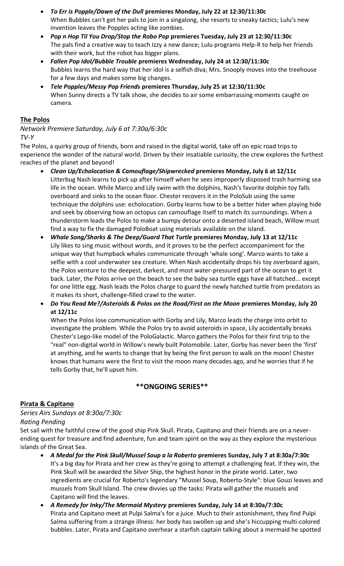- *To Err is Popple/Dawn of the Dull* **premieres Monday, July 22 at 12:30/11:30c** When Bubbles can't get her pals to join in a singalong, she resorts to sneaky tactics; Lulu's new invention leaves the Popples acting like zombies.
- *Pop n Hop Til You Drop/Stop the Robo Pop* **premieres Tuesday, July 23 at 12:30/11:30c** The pals find a creative way to teach Izzy a new dance; Lulu programs Help-R to help her friends with their work, but the robot has bigger plans.
- *Fallen Pop Idol/Bubble Trouble* **premieres Wednesday, July 24 at 12:30/11:30c** Bubbles learns the hard way that her idol is a selfish diva; Mrs. Snooply moves into the treehouse for a few days and makes some big changes.
- *Tele Popples/Messy Pop Friends* **premieres Thursday, July 25 at 12:30/11:30c** When Sunny directs a TV talk show, she decides to air some embarrassing moments caught on camera.

#### **The Polos**

*Network Premiere Saturday, July 6 at 7:30a/6:30c TV-Y*

The Polos, a quirky group of friends, born and raised in the digital world, take off on epic road trips to experience the wonder of the natural world. Driven by their insatiable curiosity, the crew explores the furthest reaches of the planet and beyond!

- *Clean Up/Echolocation & Camouflage/Shipwrecked* **premieres Monday, July 6 at 12/11c** Litterbug Nash learns to pick up after himself when he sees improperly disposed trash harming sea life in the ocean. While Marco and Lily swim with the dolphins, Nash's favorite dolphin toy falls overboard and sinks to the ocean floor. Chester recovers it in the PoloSub using the same technique the dolphins use: echolocation. Gorby learns how to be a better hider when playing hide and seek by observing how an octopus can camouflage itself to match its surroundings. When a thunderstorm leads the Polos to make a bumpy detour onto a deserted island beach, Willow must find a way to fix the damaged PoloBoat using materials available on the island.
- *Whale Song/Sharks & The Deep/Guard That Turtle* **premieres Monday, July 13 at 12/11c** Lily likes to sing music without words, and it proves to be the perfect accompaniment for the unique way that humpback whales communicate through 'whale song'. Marco wants to take a selfie with a cool underwater sea creature. When Nash accidentally drops his toy overboard again, the Polos venture to the deepest, darkest, and most water-pressured part of the ocean to get it back. Later, the Polos arrive on the beach to see the baby sea turtle eggs have all hatched... except for one little egg. Nash leads the Polos charge to guard the newly hatched turtle from predators as it makes its short, challenge-filled crawl to the water.
- *Do You Read Me?/Asteroids & Polos on the Road/First on the Moon* **premieres Monday, July 20 at 12/11c**

When the Polos lose communication with Gorby and Lily, Marco leads the charge into orbit to investigate the problem. While the Polos try to avoid asteroids in space, Lily accidentally breaks Chester's Lego-like model of the PoloGalactic. Marco gathers the Polos for their first trip to the "real" non-digital world in Willow's newly built Polomobile. Later, Gorby has never been the 'first' at anything, and he wants to change that by being the first person to walk on the moon! Chester knows that humans were the first to visit the moon many decades ago, and he worries that if he tells Gorby that, he'll upset him.

### **\*\*ONGOING SERIES\*\***

### **Pirata & Capitano**

## *Series Airs Sundays at 8:30a/7:30c Rating Pending*

Set sail with the faithful crew of the good ship Pink Skull. Pirata, Capitano and their friends are on a neverending quest for treasure and find adventure, fun and team spirit on the way as they explore the mysterious islands of the Great Sea.

- *A Medal for the Pink Skull/Mussel Soup a la Roberto* **premieres Sunday, July 7 at 8:30a/7:30c** It's a big day for Pirata and her crew as they're going to attempt a challenging feat. If they win, the Pink Skull will be awarded the Silver Ship, the highest honor in the pirate world. Later, two ingredients are crucial for Roberto's legendary "Mussel Soup, Roberto-Style": blue Gouzi leaves and mussels from Skull Island. The crew divvies up the tasks: Pirata will gather the mussels and Capitano will find the leaves.
- *A Remedy for Inky/The Mermaid Mystery* **premieres Sunday, July 14 at 8:30a/7:30c** Pirata and Capitano meet at Pulpi Salma's for a juice. Much to their astonishment, they find Pulpi Salma suffering from a strange illness: her body has swollen up and she's hiccupping multi-colored bubbles. Later, Pirata and Capitano overhear a starfish captain talking about a mermaid he spotted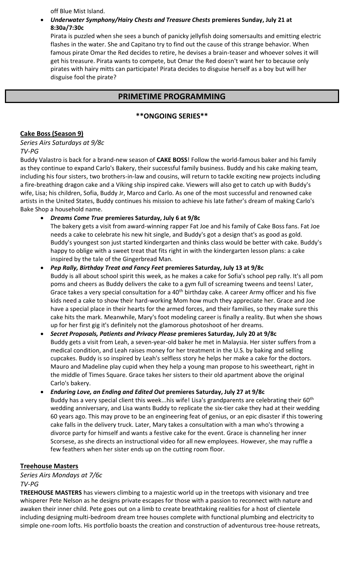off Blue Mist Island.

#### • *Underwater Symphony/Hairy Chests and Treasure Chests* **premieres Sunday, July 21 at 8:30a/7:30c**

Pirata is puzzled when she sees a bunch of panicky jellyfish doing somersaults and emitting electric flashes in the water. She and Capitano try to find out the cause of this strange behavior. When famous pirate Omar the Red decides to retire, he devises a brain-teaser and whoever solves it will get his treasure. Pirata wants to compete, but Omar the Red doesn't want her to because only pirates with hairy mitts can participate! Pirata decides to disguise herself as a boy but will her disguise fool the pirate?

## **PRIMETIME PROGRAMMING**

### **\*\*ONGOING SERIES\*\***

#### **Cake Boss (Season 9)**

*Series Airs Saturdays at 9/8c TV-PG*

Buddy Valastro is back for a brand-new season of **CAKE BOSS**! Follow the world-famous baker and his family as they continue to expand Carlo's Bakery, their successful family business. Buddy and his cake making team, including his four sisters, two brothers-in-law and cousins, will return to tackle exciting new projects including a fire-breathing dragon cake and a Viking ship inspired cake. Viewers will also get to catch up with Buddy's wife, Lisa; his children, Sofia, Buddy Jr, Marco and Carlo. As one of the most successful and renowned cake artists in the United States, Buddy continues his mission to achieve his late father's dream of making Carlo's Bake Shop a household name.

• *Dreams Come True* **premieres Saturday, July 6 at 9/8c**

The bakery gets a visit from award-winning rapper Fat Joe and his family of Cake Boss fans. Fat Joe needs a cake to celebrate his new hit single, and Buddy's got a design that's as good as gold. Buddy's youngest son just started kindergarten and thinks class would be better with cake. Buddy's happy to oblige with a sweet treat that fits right in with the kindergarten lesson plans: a cake inspired by the tale of the Gingerbread Man.

- *Pep Rally, Birthday Treat and Fancy Feet* **premieres Saturday, July 13 at 9/8c** Buddy is all about school spirit this week, as he makes a cake for Sofia's school pep rally. It's all pom poms and cheers as Buddy delivers the cake to a gym full of screaming tweens and teens! Later, Grace takes a very special consultation for a 40<sup>th</sup> birthday cake. A career Army officer and his five kids need a cake to show their hard-working Mom how much they appreciate her. Grace and Joe have a special place in their hearts for the armed forces, and their families, so they make sure this cake hits the mark. Meanwhile, Mary's foot modeling career is finally a reality. But when she shows up for her first gig it's definitely not the glamorous photoshoot of her dreams.
- *Secret Proposals, Patients and Privacy Please* **premieres Saturday, July 20 at 9/8c** Buddy gets a visit from Leah, a seven-year-old baker he met in Malaysia. Her sister suffers from a medical condition, and Leah raises money for her treatment in the U.S. by baking and selling cupcakes. Buddy is so inspired by Leah's selfless story he helps her make a cake for the doctors. Mauro and Madeline play cupid when they help a young man propose to his sweetheart, right in the middle of Times Square. Grace takes her sisters to their old apartment above the original Carlo's bakery.
- *Enduring Love, an Ending and Edited Out* **premieres Saturday, July 27 at 9/8c** Buddy has a very special client this week...his wife! Lisa's grandparents are celebrating their 60<sup>th</sup> wedding anniversary, and Lisa wants Buddy to replicate the six-tier cake they had at their wedding 60 years ago. This may prove to be an engineering feat of genius, or an epic disaster if this towering cake falls in the delivery truck. Later, Mary takes a consultation with a man who's throwing a divorce party for himself and wants a festive cake for the event. Grace is channeling her inner Scorsese, as she directs an instructional video for all new employees. However, she may ruffle a few feathers when her sister ends up on the cutting room floor.

#### **Treehouse Masters**

*Series Airs Mondays at 7/6c TV-PG*

**TREEHOUSE MASTERS** has viewers climbing to a majestic world up in the treetops with visionary and tree whisperer Pete Nelson as he designs private escapes for those with a passion to reconnect with nature and awaken their inner child. Pete goes out on a limb to create breathtaking realities for a host of clientele including designing multi-bedroom dream tree houses complete with functional plumbing and electricity to simple one-room lofts. His portfolio boasts the creation and construction of adventurous tree-house retreats,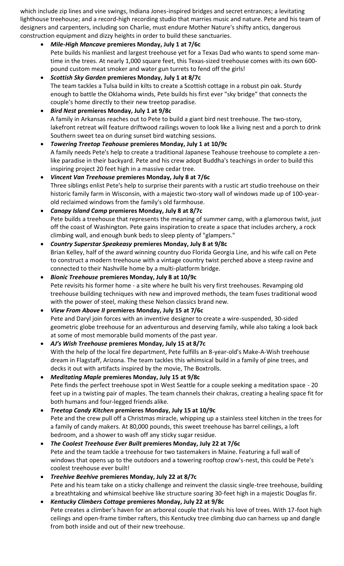which include zip lines and vine swings, Indiana Jones-inspired bridges and secret entrances; a levitating lighthouse treehouse; and a record-high recording studio that marries music and nature. Pete and his team of designers and carpenters, including son Charlie, must endure Mother Nature's shifty antics, dangerous construction equipment and dizzy heights in order to build these sanctuaries.

• *Mile-High Mancave* **premieres Monday, July 1 at 7/6c**

Pete builds his manliest and largest treehouse yet for a Texas Dad who wants to spend some mantime in the trees. At nearly 1,000 square feet, this Texas-sized treehouse comes with its own 600 pound custom meat smoker and water gun turrets to fend off the girls!

- *Scottish Sky Garden* **premieres Monday, July 1 at 8/7c** The team tackles a Tulsa build in kilts to create a Scottish cottage in a robust pin oak. Sturdy enough to battle the Oklahoma winds, Pete builds his first ever "sky bridge" that connects the couple's home directly to their new treetop paradise.
- *Bird Nest* **premieres Monday, July 1 at 9/8c** A family in Arkansas reaches out to Pete to build a giant bird nest treehouse. The two-story, lakefront retreat will feature driftwood railings woven to look like a living nest and a porch to drink Southern sweet tea on during sunset bird watching sessions.
- *Towering Treetop Teahouse* **premieres Monday, July 1 at 10/9c**  A family needs Pete's help to create a traditional Japanese Teahouse treehouse to complete a zenlike paradise in their backyard. Pete and his crew adopt Buddha's teachings in order to build this inspiring project 20 feet high in a massive cedar tree.
- *Vincent Van Treehouse* **premieres Monday, July 8 at 7/6c** Three siblings enlist Pete's help to surprise their parents with a rustic art studio treehouse on their historic family farm in Wisconsin, with a majestic two-story wall of windows made up of 100-yearold reclaimed windows from the family's old farmhouse.
- *Canopy Island Camp* **premieres Monday, July 8 at 8/7c** Pete builds a treehouse that represents the meaning of summer camp, with a glamorous twist, just off the coast of Washington. Pete gains inspiration to create a space that includes archery, a rock climbing wall, and enough bunk beds to sleep plenty of "glampers."
- *Country Superstar Speakeasy* **premieres Monday, July 8 at 9/8c** Brian Kelley, half of the award winning country duo Florida Georgia Line, and his wife call on Pete to construct a modern treehouse with a vintage country twist perched above a steep ravine and connected to their Nashville home by a multi-platform bridge.
- *Bionic Treehouse* **premieres Monday, July 8 at 10/9c** Pete revisits his former home - a site where he built his very first treehouses. Revamping old treehouse building techniques with new and improved methods, the team fuses traditional wood with the power of steel, making these Nelson classics brand new.
- *View From Above II* **premieres Monday, July 15 at 7/6c** Pete and Daryl join forces with an inventive designer to create a wire-suspended, 30-sided geometric globe treehouse for an adventurous and deserving family, while also taking a look back at some of most memorable build moments of the past year.
- *AJ's Wish Treehouse* **premieres Monday, July 15 at 8/7c** With the help of the local fire department, Pete fulfills an 8-year-old's Make-A-Wish treehouse dream in Flagstaff, Arizona. The team tackles this whimsical build in a family of pine trees, and decks it out with artifacts inspired by the movie, The Boxtrolls.
- *Meditating Maple* **premieres Monday, July 15 at 9/8c** Pete finds the perfect treehouse spot in West Seattle for a couple seeking a meditation space - 20 feet up in a twisting pair of maples. The team channels their chakras, creating a healing space fit for both humans and four-legged friends alike.
- *Treetop Candy Kitchen* **premieres Monday, July 15 at 10/9c** Pete and the crew pull off a Christmas miracle, whipping up a stainless steel kitchen in the trees for a family of candy makers. At 80,000 pounds, this sweet treehouse has barrel ceilings, a loft bedroom, and a shower to wash off any sticky sugar residue.
- *The Coolest Treehouse Ever Built* **premieres Monday, July 22 at 7/6c** Pete and the team tackle a treehouse for two tastemakers in Maine. Featuring a full wall of windows that opens up to the outdoors and a towering rooftop crow's-nest, this could be Pete's coolest treehouse ever built!
- *Treehive Beehive* **premieres Monday, July 22 at 8/7c** Pete and his team take on a sticky challenge and reinvent the classic single-tree treehouse, building a breathtaking and whimsical beehive like structure soaring 30-feet high in a majestic Douglas fir.
- *Kentucky Climbers Cottage* **premieres Monday, July 22 at 9/8c** Pete creates a climber's haven for an arboreal couple that rivals his love of trees. With 17-foot high ceilings and open-frame timber rafters, this Kentucky tree climbing duo can harness up and dangle from both inside and out of their new treehouse.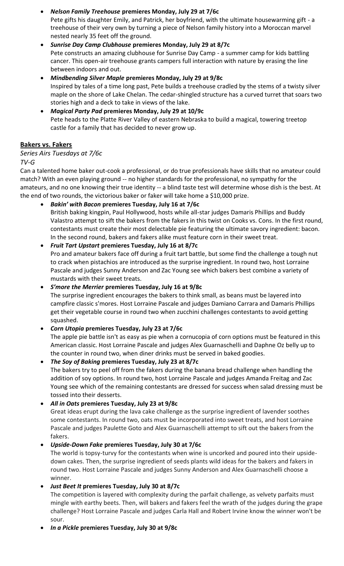• *Nelson Family Treehouse* **premieres Monday, July 29 at 7/6c** Pete gifts his daughter Emily, and Patrick, her boyfriend, with the ultimate housewarming gift - a treehouse of their very own by turning a piece of Nelson family history into a Moroccan marvel nested nearly 35 feet off the ground.

- *Sunrise Day Camp Clubhouse* **premieres Monday, July 29 at 8/7c** Pete constructs an amazing clubhouse for Sunrise Day Camp - a summer camp for kids battling cancer. This open-air treehouse grants campers full interaction with nature by erasing the line between indoors and out.
- *Mindbending Silver Maple* **premieres Monday, July 29 at 9/8c** Inspired by tales of a time long past, Pete builds a treehouse cradled by the stems of a twisty silver maple on the shore of Lake Chelan. The cedar-shingled structure has a curved turret that soars two stories high and a deck to take in views of the lake.
- *Magical Party Pad* **premieres Monday, July 29 at 10/9c** Pete heads to the Platte River Valley of eastern Nebraska to build a magical, towering treetop castle for a family that has decided to never grow up.

## **Bakers vs. Fakers**

### *Series Airs Tuesdays at 7/6c*

### *TV-G*

Can a talented home baker out-cook a professional, or do true professionals have skills that no amateur could match? With an even playing ground -- no higher standards for the professional, no sympathy for the amateurs, and no one knowing their true identity -- a blind taste test will determine whose dish is the best. At the end of two rounds, the victorious baker or faker will take home a \$10,000 prize.

- *Bakin' with Bacon* **premieres Tuesday, July 16 at 7/6c**
	- British baking kingpin, Paul Hollywood, hosts while all-star judges Damaris Phillips and Buddy Valastro attempt to sift the bakers from the fakers in this twist on Cooks vs. Cons. In the first round, contestants must create their most delectable pie featuring the ultimate savory ingredient: bacon. In the second round, bakers and fakers alike must feature corn in their sweet treat.

### • *Fruit Tart Upstart* **premieres Tuesday, July 16 at 8/7c**

Pro and amateur bakers face off during a fruit tart battle, but some find the challenge a tough nut to crack when pistachios are introduced as the surprise ingredient. In round two, host Lorraine Pascale and judges Sunny Anderson and Zac Young see which bakers best combine a variety of mustards with their sweet treats.

# • *S'more the Merrier* **premieres Tuesday, July 16 at 9/8c**

The surprise ingredient encourages the bakers to think small, as beans must be layered into campfire classic s'mores. Host Lorraine Pascale and judges Damiano Carrara and Damaris Phillips get their vegetable course in round two when zucchini challenges contestants to avoid getting squashed.

# • *Corn Utopia* **premieres Tuesday, July 23 at 7/6c**

The apple pie battle isn't as easy as pie when a cornucopia of corn options must be featured in this American classic. Host Lorraine Pascale and judges Alex Guarnaschelli and Daphne Oz belly up to the counter in round two, when diner drinks must be served in baked goodies.

# • *The Soy of Baking* **premieres Tuesday, July 23 at 8/7c**

The bakers try to peel off from the fakers during the banana bread challenge when handling the addition of soy options. In round two, host Lorraine Pascale and judges Amanda Freitag and Zac Young see which of the remaining contestants are dressed for success when salad dressing must be tossed into their desserts.

# • *All in Oats* **premieres Tuesday, July 23 at 9/8c**

Great ideas erupt during the lava cake challenge as the surprise ingredient of lavender soothes some contestants. In round two, oats must be incorporated into sweet treats, and host Lorraine Pascale and judges Paulette Goto and Alex Guarnaschelli attempt to sift out the bakers from the fakers.

# • *Upside-Down Fake* **premieres Tuesday, July 30 at 7/6c**

The world is topsy-turvy for the contestants when wine is uncorked and poured into their upsidedown cakes. Then, the surprise ingredient of seeds plants wild ideas for the bakers and fakers in round two. Host Lorraine Pascale and judges Sunny Anderson and Alex Guarnaschelli choose a winner.

# • *Just Beet It* **premieres Tuesday, July 30 at 8/7c**

The competition is layered with complexity during the parfait challenge, as velvety parfaits must mingle with earthy beets. Then, will bakers and fakers feel the wrath of the judges during the grape challenge? Host Lorraine Pascale and judges Carla Hall and Robert Irvine know the winner won't be sour.

• *In a Pickle* **premieres Tuesday, July 30 at 9/8c**